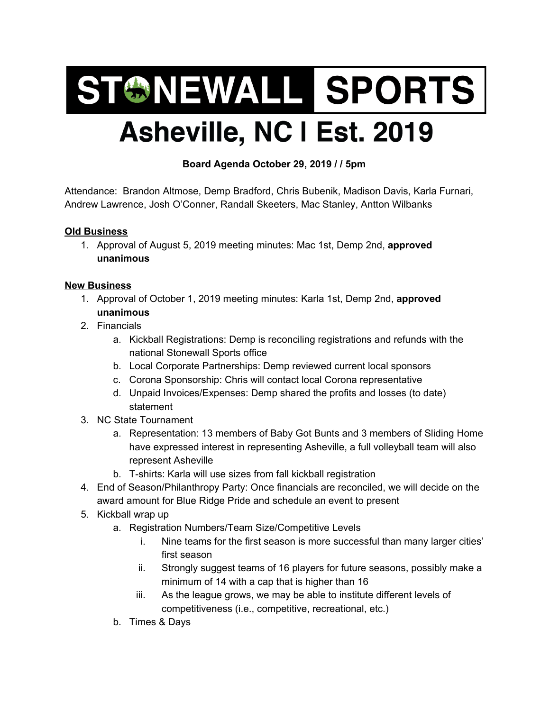## ST&NEWALL SPORTS Asheville, NC I Est. 2019

## **Board Agenda October 29, 2019 / / 5pm**

Attendance: Brandon Altmose, Demp Bradford, Chris Bubenik, Madison Davis, Karla Furnari, Andrew Lawrence, Josh O'Conner, Randall Skeeters, Mac Stanley, Antton Wilbanks

## **Old Business**

1. Approval of August 5, 2019 meeting minutes: Mac 1st, Demp 2nd, **approved unanimous**

## **New Business**

- 1. Approval of October 1, 2019 meeting minutes: Karla 1st, Demp 2nd, **approved unanimous**
- 2. Financials
	- a. Kickball Registrations: Demp is reconciling registrations and refunds with the national Stonewall Sports office
	- b. Local Corporate Partnerships: Demp reviewed current local sponsors
	- c. Corona Sponsorship: Chris will contact local Corona representative
	- d. Unpaid Invoices/Expenses: Demp shared the profits and losses (to date) statement
- 3. NC State Tournament
	- a. Representation: 13 members of Baby Got Bunts and 3 members of Sliding Home have expressed interest in representing Asheville, a full volleyball team will also represent Asheville
	- b. T-shirts: Karla will use sizes from fall kickball registration
- 4. End of Season/Philanthropy Party: Once financials are reconciled, we will decide on the award amount for Blue Ridge Pride and schedule an event to present
- 5. Kickball wrap up
	- a. Registration Numbers/Team Size/Competitive Levels
		- i. Nine teams for the first season is more successful than many larger cities' first season
		- ii. Strongly suggest teams of 16 players for future seasons, possibly make a minimum of 14 with a cap that is higher than 16
		- iii. As the league grows, we may be able to institute different levels of competitiveness (i.e., competitive, recreational, etc.)
	- b. Times & Days